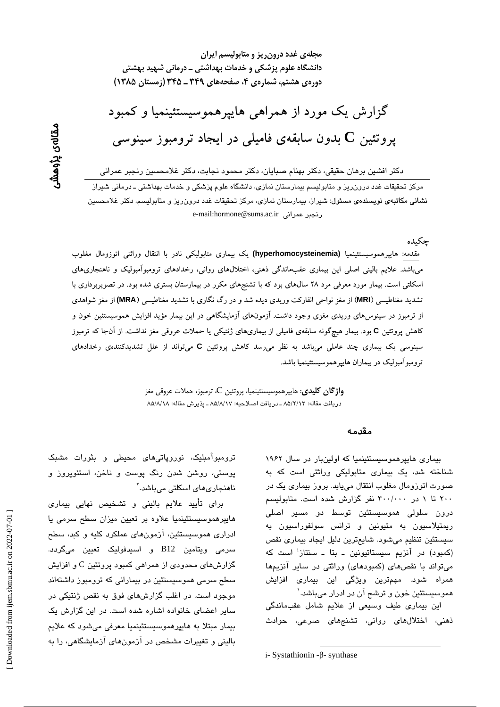مجلهی غدد درون ریز و متابولیسم ایران دانشگاه علوم پزشکی و خدمات بهداشتی ــ درمانی شهید بهشتی دورهی هشتم، شمارهی ۴، صفحههای ۳۴۹ ـ ۳۴۵ (زمستان ۱۳۸۵)

گزارش یک مورد از همراهی هاییرهموسیستئینمیا و کمبود یروتئین  ${\bf C}$  بدون سابقهی فامیلی در ایجاد ترومبوز سینوسی

دکتر افشین برهان حقیقی، دکتر بهنام صبایان، دکتر محمود نجابت، دکتر غلامحسین رنجبر عمرانی مرکز تحقیقات غدد درون ریز و متابولیسم بیمارستان نمازی، دانشگاه علوم پزشکی و خدمات بهداشتی ـ درمانی شیراز <mark>نشانی مکاتبهی نویسندهی مسئول</mark>: شیراز، بیمارستان نمازی، مرکز تحقیقات غدد درون ریز و متابولیسم، دکتر غلامحسین e-mail:hormone@sums.ac.ir ونحير عمراني

جكىدە

مقدمه: هایپرهموسیستئینمیا (hyperhomocysteinemia) یک بیماری متابولیکی نادر با انتقال وراثتی اتوزومال مغلوب میباشد. علایم بالینی اصلی این بیماری عقبماندگی ذهنی، اختلالهای روانی، رخدادهای ترومبوآمبولیک و ناهنجاریهای اسکلتی است. بیمار مورد معرفی مرد ۲۸ سال های بود که با تشنجهای مکرر در بیمارستان بستری شده بود. در تصویربرداری با تشدید مغناطیسی (MRI) از مغز نواحی انفارکت وریدی دیده شد و در رگ نگاری با تشدید مغناطیسی (MRA) از مغز شواهدی از ترمبوز در سینوس۵ای وریدی مغزی وجود داشت. آزمونهای آزمایشگاهی در این بیمار مؤید افزایش هموسیستئین خون و کاهش پروتئین C بود. بیمار هیچگونه سابقهی فامیلی از بیماریهای ژنتیکی یا حملات عروقی مغز نداشت. از آنجا که ترمبوز سینوسی یک بیماری چند عاملی میباشد به نظر می رسد کاهش پروتئین C میتواند از علل تشدیدکنندهی رخدادهای ترومبوآمبوليک در بيماران هايپرهموسيستئينميا باشد.

> و**اژگان کلیدی**: هایپرهموسیستئینمیا، پروتئین C، ترمبوز، حملات عروقی مغز دريافت مقاله: ٨٥/٢/١٣ ـ دريافت اصلاحيه: ٨٥/٨/١٧ ـ پذيرش مقاله: ٨٥/٨/١٨

#### مقدمه

بیماری هایپرهموسیستئینمیا که اولین بار در سال ۱۹۶۲ شناخته شد، یک بیماری متابولیکی وراثتی است که به صورت اتوزومال مغلوب انتقال میپابد. بروز بیماری یک در ۲۰۰ تا ۱ در ۳۰۰/۰۰۰ نفر گزارش شده است. متابولیسم درون سلولی هموسیستئین توسط دو مسیر اصلی ریمتیلاسیون به متیونین و ترانس سولفوراسیون به سیستئین تنظیم میشود. شایعترین دلیل ایجاد بیماری نقص (کمبود) در آنزیم سیستاتیونین ـ بتا ـ سنتاز<sup>:</sup> است که میتواند با نقصهای (کمبودهای) وراثتی در سایر آنزیمها همراه شود. مهمترین ویژگی این بیماری افزایش هموسیستئین خون و ترشح آن در ادرار میباشد.<sup>\</sup>

این بیماری طیف وسیعی از علایم شامل عقبماندگی ذهنی، اختلالهای روانی، تشنجهای صرعی، حوادث

 $i$ - Systathionin - $\beta$ - synthase

ترومبوآمبلیک، نوروپاتیهای محیطی و بثورات مشبک پوستی، روشن شدن رنگ پوست و ناخن، استئوپروز و ناھنجار*ی*ھا*ی* اسکلتی میباشد.``

برای تأیید علایم بالینی و تشخیص نهایی بیماری هاییرهموسیستئینمیا علاوه بر تعیین میزان سطح سرمی یا ادراری هموسیستئین، آزمونهای عملکرد کلیه و کبد، سطح سرمی ویتامین B12 و اسپدفولیک تعیین میگردد. گزارشهای محدودی از همراهی کمبود پروتئین C و افزایش سطح سرمی هموسیستئین در بیمارانی که ترومبوز داشتهاند موجود است. در اغلب گزارشهای فوق به نقص ژنتیکی در سایر اعضای خانواده اشاره شده است. در این گزارش یک بیمار مبتلا به هایپرهموسیستئینمیا معرفی میشود که علایم بالینی و تغییرات مشخص در آزمونهای آزمایشگاهی، را به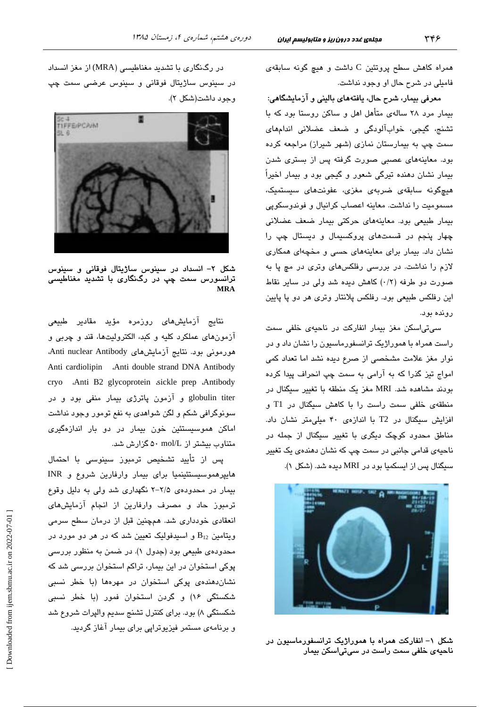همراه كاهش سطح پروتئين C داشت و هيچ گونه سابقهى فاميلي در شرح حال او وجود نداشت.

معرفی بیمار، شرح حال، یافتههای بالینی و آزمایشگاهی: بیمار مرد ۲۸ سالهی متأهل اهل و ساکن روستا بود که با تشنج، گیجی، خوابآلودگی و ضعف عضلانی اندامهای سمت چپ به بیمارستان نمازی (شهر شیراز) مراجعه کرده بود. معاینههای عصبی صورت گرفته پس از بستری شدن بیمار نشان دهنده تیرگی شعور و گیجی بود و بیمار اخیراً هيچگونه سابقەي ضربەي مغزى، عفونتهاى سيستميک، مسموميت را نداشت. معاينه اعصاب كرانيال و فوندوسكوپى بیمار طبیعی بود. معاینههای حرکتی بیمار ضعف عضلانی چهار پنجم در قسمتهای پروکسیمال و دیستال چپ را نشان داد. بیمار برای معاینههای حسی و مخچهای همکاری لازم را نداشت. در بررسی رفلکسهای وتری در مچ یا به صورت دو طرفه (۰/۲) كاهش ديده شد ولي در ساير نقاط این رفلکس طبیعی بود. رفلکس پلانتار وتری هر دو پا پایین رونده بود.

سی تی اسکن مغز بیمار انفارکت در ناحیهی خلفی سمت راست همراه با هموراژیک ترانسفورماسیون را نشان داد و در نوار مغز علامت مشخصی از صرع دیده نشد اما تعداد کمی امواج تیز گذرا که به آرامی به سمت چپ انحراف پیدا کرده بودند مشاهده شد. MRI مغز یک منطقه با تغییر سیگنال در منطقهی خلفی سمت راست را با کاهش سیگنال در T1 و افزایش سیگنال در T2 با اندازهی ۴۰ میلی متر نشان داد. مناطق محدود کوچک دیگر*ی* با تغییر سیگنال از جمله در ناحیهی قدامی جانبی در سمت چپ که نشان دهندهی یک تغییر سیگنال پس از ایسکمیا بود در MRI دیده شد. (شکل ۱).



شکل ۱– انفارکت همراه با هموراژیک ترانسفورماسیون در ناحیهی خلفی سمت راست در سی.تیاسکن بیمار

در رگنگاری با تشدید مغناطیسی (MRA) از مغز انسداد در سينوس ساڙيتال فوقان*ي* و سينوس عرض*ني* سمت چپ وحود داشت(شکل ۲).



شکل ۲– انسداد در سینوس ساژیتال فوقانی و سینوس ترانسورس سمت چپ در رگنگاری با تشدید مغناطیسی

نتايج آزمايش،*ه*ای روزمره مؤيد مقادير طبيعی آزمونهای عملکرد کلیه و کبد، الکترولیتها، قند و چربی و هورمونی بود. نتایج آزمایشهای Anti nuclear Antibody، Anti cardiolipin Anti double strand DNA Antibody cryo .Anti B2 glycoprotein sickle prep .Antibody globulin titer و آزمون پاترژی بیمار منفی بود و در سونوگرافی شکم و لگن شواهدی به نفع تومور وجود نداشت اماکن هموسیستئین خون بیمار در دو بار اندازهگیری متناوب بیشتر از mol/L ۵۰ گزارش شد.

پس از تأیید تشخیص ترمبوز سینوسی با احتمال هاییرهموسیستئینمیا برای بیمار وارفارین شروع و INR بیمار در محدودهی ۲/۵-۲ نگهداری شد ولی به دلیل وقوع ترمبوز حاد و مصرف وارفارین از انجام آزمایشهای انعقادی خودداری شد. همچنین قبل از درمان سطح سرمی ویتامین  $\mathrm{B}_{12}$  و اسیدفولیک تعیین شد که در هر دو مورد در محدودهی طبیعی بود (جدول ۱). در ضمن به منظور بررسی پوکی استخوان در این بیمار، تراکم استخوان بررسی شد که نشاندهندهی پوکی استخوان در مهرهها (با خطر نسبی شکستگی ۱۶) و گردن استخوان فمور (با خطر نسبی شکستگی ۸) بود. برای کنترل تشنج سدیم والیرات شروع شد و برنامهی مستمر فیزیوتراپی برای بیمار آغاز گردید.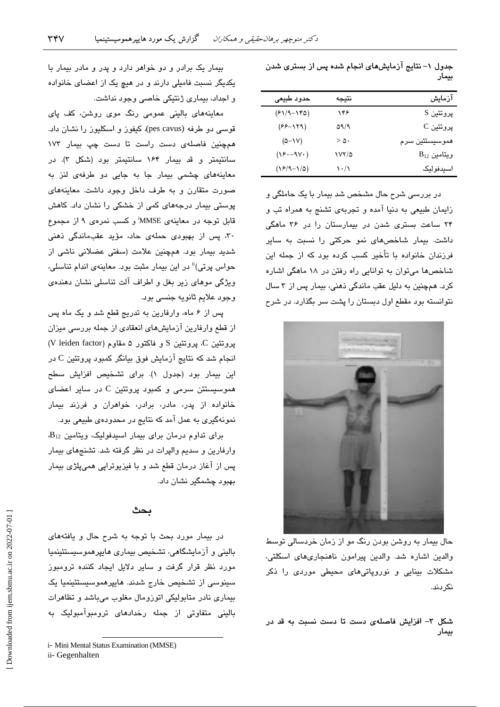| آزمایش           | نتيجه                             | حدود طبيعى       |
|------------------|-----------------------------------|------------------|
| پروتئين S        | ۱۴۶                               | $(51/9 - 180)$   |
| پروتئين C        | ۵۹/۹                              | $(55 - 179)$     |
| هموسيستئين سرم   | > 0.                              | $(0 - 1V)$       |
| $B_{12}$ ويتامين | ۱۷۲/۵                             | $(Y^{\mu} - 9Y)$ |
| اسيدفوليک        | $\mathcal{N} \cdot / \mathcal{N}$ | $(18/9-1/0)$     |
|                  |                                   |                  |

جدول ۱– نتایج آزمایشهای انجام شده پس از بستری شدن

بيمار

در بررسی شرح حال مشخص شد بیمار با یک حاملگی و زایمان طبیعی به دنیا آمده و تجربهی تشنج به همراه تب و ۲۴ ساعت بستری شدن در بیمارستان را در ۳۶ ماهگی داشت. بیمار شاخصهای نمو حرکتی را نسبت به سایر فرزندان خانواده یا تأخیر کسب کرده بود که از جمله این شاخصها میتوان به توانایی راه رفتن در ۱۸ ماهگی اشاره کرد. همچنین به دلیل عقب ماندگی ذهنی، بیمار پس از ۳ سال نتوانسته بود مقطع اول دبستان را پشت سر بگذارد. در شرح



حال بیمار به روشن بودن رنگ مو از زمان خردسالی توسط والدین اشاره شد. والدین پیرامون ناهنجاریهای اسکلتی، مشکلات بینایی و نوروپاتیهای محیطی موردی را ذکر نک دند.

شکل ۳– افزایش فاصلهی دست تا دست نسبت به قد در بيمار

بیمار یک برادر و دو خواهر دارد و پدر و مادر بیمار با یکدیگر نسبت فامیلی دارند و در هیچ یک از اعضای خانواده و اجداد، بیماری ژنتیکی خاصی وجود نداشت.

معاینههای بالینی عمومی رنگ موی روشن، کف پای قوسی دو طرفه (pes cavus)، کیفوز و اسکلیوز را نشان داد. همچنین فاصلهی دست راست تا دست چپ بیمار ۱۷۳ سانتیمتر و قد بیمار ۱۶۴ سانتیمتر بود (شکل ۳). در معاینههای چشمی بیمار جا به جایی دو طرفهی لنز به صورت متقارن و به طرف داخل وجود داشت. معاینههای پوستی بیمار درجههای کمی از خشکی را نشان داد. کاهش قابل توجه در معاینهی MMSE'و کسب نمرهی ۹ از مجموع ۳۰، پس از بهبودی حملهی حاد، مؤید عقبماندگی ذهنی شدید بیمار بود. همچنین علامت (سفتی عضلانی ناشی از حواس پرتی)<sup>ii</sup> در این بیمار مثبت بود. معاینهی اندام تناسلی، ویژگی موهای زیر بغل و اطراف آلت تناسلی نشان دهندهی وجود علايم ثانويه جنسي بود.

پس از ۶ ماه، وارفارین به تدریج قطع شد و یک ماه پس از قطع وارفارین آزمایشهای انعقادی از جمله بررسی میزان پروتئین C. پروتئین S و فاکتور ۵ مقاوم (V leiden factor) انجام شد که نتایج آزمایش فوق بیانگر کمبود پروتئین C در این بیمار بود (جدول ۱). برای تشخیص افزایش سطح هموسیستئن سرمی و کمبود پروتئین C در سایر اعضا*ی* خانواده از پدر، مادر، برادر، خواهران و فرزند بیمار نمونهگیری به عمل آمد که نتایج در محدودهی طبیعی بود.

برای تداوم درمان برای بیمار اسیدفولیک، ویتامین B<sub>12</sub> وارفارین و سدیم والیرات در نظر گرفته شد. تشنجهای بیمار پس از آغاز درمان قطع شد و با فیزیوتراپی همیپلژی بیمار بهبود چشمگیر نشان داد.

### بحث

در بیمار مورد بحث با توجه به شرح حال و یافتههای بالینی و آزمایشگاهی، تشخیص بیماری هایپرهموسیستئینمیا مورد نظر قرار گرفت و سایر دلایل ایجاد کننده ترومبوز سینوسی از تشخیص خارج شدند. هایپرهموسیستئینمیا یک بیماری نادر متابولیکی اتوزومال مغلوب میباشد و تظاهرات بالینی متفاوتی از جمله رخدادهای ترومبوآمبولیک به

i- Mini Mental Status Examination (MMSE)

ii- Gegenhalten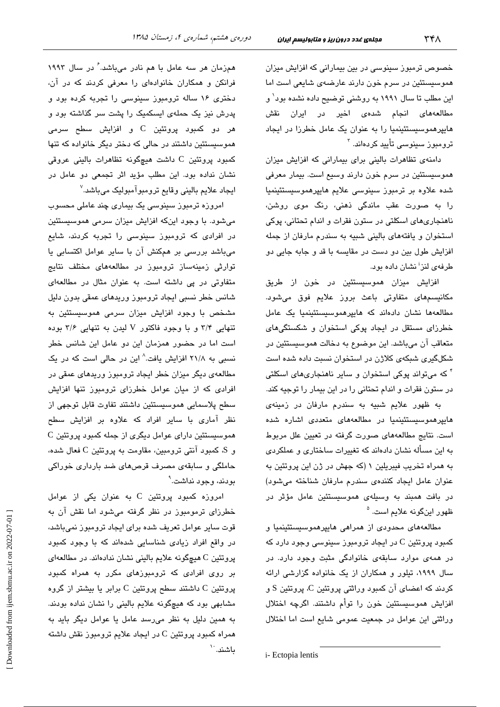خصوص ترمبوز سینوسی در بین بیمارانی که افزایش میزان هموسیستئین در سرم خون دارند عارضهی شایعی است اما این مطلب تا سال ۱۹۹۱ به روشنی توضیح داده نشده بود<sup>٬</sup> و مطالعههای انجام شدهی اخیر در ایران نقش هایپرهموسیستئینمیا را به عنوان یک عامل خطرزا در ایجاد ترومبوز سینوس*ی* تأیید کردهاند. <sup>۲</sup>

دامنهی تظاهرات بالینی برای بیمارانی که افزایش میزان هموسیستئین در سرم خون دارند وسیع است. بیمار معرفی شدە علاوە بر ترمبوز سینوسی علایم ھایپرھموسیستئینمیا را به صورت عقب ماندگی ذهنی، رنگ موی روشن، ناهنجاريهاي اسكلتي در ستون فقرات و اندام تحتاني، پوكي استخوان و یافتههای بالینی شبیه به سندرم مارفان از جمله افزايش طول بين دو دست در مقايسه با قد و جابه جايي دو طرفهی لنز<sup>ا</sup> نشان داده بود.

افزایش میزان هموسیستئین در خون از طریق مکانیسمهای متفاوتی باعث بروز علایم فوق میشود. مطالعهها نشان دادهاند که هایپرهموسیستئینمیا یک عامل خطرزای مستقل در ایجاد پوکی استخوان و شکستگیهای متعاقب آن میباشد. این موضوع به دخالت هموسیستئین در شکلگیری شبکهی کلاژن در استخوان نسبت داده شده است <sup>۴</sup> که میتواند پوکی استخوان و سایر ناهنجاریهای اسکلتی در ستون فقرات و اندام تحتانی را در این بیمار را توجیه کند.

به ظهور علایم شبیه به سندرم مارفان در زمینهی هایپرهموسیستئینمیا در مطالعههای متعددی اشاره شده است. نتایج مطالعههای صورت گرفته در تعیین علل مربوط به این مسأله نشان دادهاند که تغییرات ساختاری و عملکردی به همراه تخریب فیبریلین ۱ (که جهش در ژن این پروتئین به عنوان عامل ايجاد كنندهى سندرم مارفان شناخته مى شود) در بافت همبند به وسیلهی هموسیستئین عامل مؤثر در ظهور اینگونه علایم است. <sup>۵</sup>

مطالعههای محدودی از همراهی هایپرهموسیستئینمیا و کمبود پروتئین C در ایجاد ترومبوز سینوسی وجود دارد که در همهی موارد سابقهی خانوادگی مثبت وجود دارد. در سال ۱۹۹۹، تیلور و همکاران از یک خانواده گزارشی ارائه کردند که اعضای آن کمبود وراثتی پروتئین C، پروتئین S و افزایش هموسیستئین خون را توأم داشتند. اگرچه اختلال وراثتی این عوامل در جمعیت عمومی شایع است اما اختلال

همزمان هر سه عامل با هم نادر میباشد. ٔ در سال ۱۹۹۳ فرانکن و همکاران خانوادهای را معرفی کردند که در آن، دختری ۱۶ ساله ترومبوز سینوسی را تجربه کرده بود و پدرش نیز یک حملهی ایسکمیک را پشت سر گذاشته بود و هر دو کمبود پروتئین C و افزایش سطح سرمی هموسیستئین داشتند در حالی که دختر دیگر خانواده که تنها كمبود پروتئين C داشت هيچگونه تظاهرات بالينی عروقی نشان نداده بود. این مطلب مؤید اثر تجمعی دو عامل در ايجاد علايم باليني وقايع ترومبوآمبوليک ميباشد.<sup>۷</sup>

امروزہ ترمبوز سینوسی یک بیماری چند عاملی محسوب می شود. با وجود اینکه افزایش میزان سرمی هموسیستئین در افرا*دی* که ترومبوز سینوس*ی* را تجربه کردند، شایع میباشد بررسی بر همکنش آن با سایر عوامل اکتسابی یا توارثی زمینهساز ترومبوز در مطالعههای مختلف نتایج متفاوتی در پی داشته است. به عنوان مثال در مطالعهای شانس خطر نسبی ایجاد ترومبوز وریدهای عمقی بدون دلیل مشخص با وجود افزایش میزان سرمی هموسیستئین به تنهایی ۳/۴ و با وجود فاکتور V لیدن به تنهایی ۳/۶ بوده است اما در حضور همزمان این دو عامل این شانس خطر نسبی به ۲۱/۸ افزایش یافت.<sup>۸</sup> این در حالی است که در یک مطالعهی دیگر میزان خطر ایجاد ترومبوز وریدهای عمقی در افرادی که از میان عوامل خطرزای ترومبوز تنها افزایش سطح پلاسمایی هموسیستئین داشتند تفاوت قابل توجهی از نظر آماری با سایر افراد که علاوه بر افزایش سطح هموسیستئین دارای عوامل دیگری از جمله کمبود پروتئین C و S، کمبود آنتی ترومبین، مقاومت به پروتئین C فعال شده، حاملگی و سابقهی مصرف قرصهای ضد بارداری خوراکی بودند، وجود نداشت.<sup>۹</sup>

امروزه کمبود پروتئین C به عنوان یکی از عوامل خطرزای ترمومبوز در نظر گرفته میشود اما نقش آن به قوت سایر عوامل تعریف شده برای ایجاد ترومبوز نمیباشد، در واقع افراد زیادی شناسایی شدهاند که با وجود کمبود پروتئین C هیچگونه علایم بالینی نشان ندادهاند. در مطالعهای بر روی افرادی که ترومبوزهای مکرر به همراه کمبود پروتئین C داشتند سطح پروتئین C برابر یا بیشتر از گروه مشابهی بود که هیچگونه علایم بالینی را نشان نداده بودند. به همین دلیل به نظر می رسد عامل یا عوامل دیگر باید به ممراه کمبود پروتئین C در ایجاد علایم ترومبوز نقش داشته ىاشند. ``

i- Ectopia lentis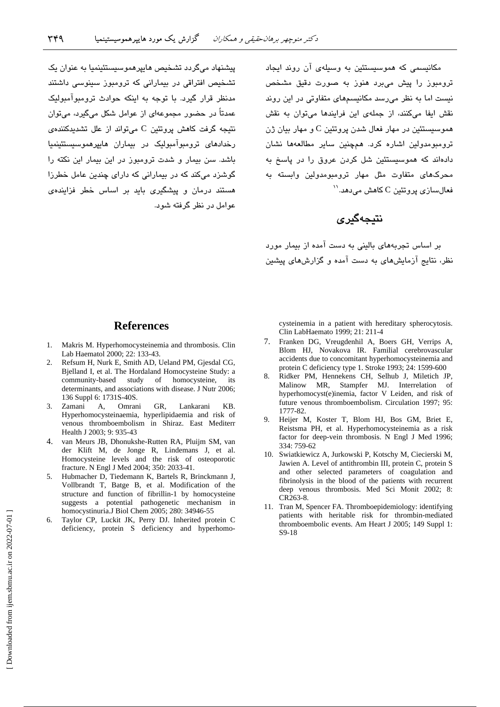پیشنهاد میگردد تشخیص هایپرهموسیستئینمیا به عنوان یک تشخیص افتراقی در بیمارانی که ترومیوز سینوسی داشتند مدنظر قرار گیرد. با توجه به اینکه حوادث ترومبوآمبولیک عمدتاً در حضور مجموعهای از عوامل شکل میگیرد، میتوان نتیجه گرفت کاهش پروتئین C می تواند از علل تشدیدکننده*ی* رخدادهای ترومبوآمبولیک در بیماران هایپرهموسیستئینمیا باشد. سن بیمار و شدت ترومبوز در این بیمار این نکته را گوشزد میکند که در بیمارانی که دارای چندین عامل خطرزا هستند درمان و پیشگیری باید بر اساس خطر فزایندهی عوامل در نظر گرفته شود.

مکانیسمی که هموسیستئین به وسیلهی آن روند ایجاد .<br>ترومبوز را پیش میبرد هنوز به صورت دقیق مشخص نیست اما به نظر میرسد مکانیسمهای متفاوتی در این روند نقش ایفا میکنند، از جملهی این فرایندها میتوان به نقش هموسیستئین در مهار فعال شدن پروتئین C و مهار بیان ژن ترومبومدولین اشاره کرد. همچنین سایر مطالعهها نشان دادهاند که هموسیستئین شل کردن عروق را در پاسخ به محرکها*ی م*تفاوت مثل مهار ترومبومدولین وابسته به  $``$ فعال $``$ نی پروتئین  $\rm C$  کاهش می $\rm \omega$ هد. $''$ 

# نتىچەگىرى

بر اساس تجربههای بالینی به دست آمده از بیمار مورد نظر، نتایج آزمایشهای به دست آمده و گزارشهای پیشین

## **References**

- 1. Makris M. Hyperhomocysteinemia and thrombosis. Clin Lab Haematol 2000; 22: 133-43.
- Refsum H, Nurk E, Smith AD, Ueland PM, Gjesdal CG, 2. Bjelland I, et al. The Hordaland Homocysteine Study: a community-based study of homocysteine, its determinants, and associations with disease. J Nutr 2006; 136 Suppl 6: 1731S-40S.
- KB. 3. Zamani A, Omrani GR. Lankarani Hyperhomocysteinaemia, hyperlipidaemia and risk of venous thromboembolism in Shiraz. East Mediterr Health J 2003: 9: 935-43
- 4. van Meurs JB, Dhonukshe-Rutten RA, Pluijm SM, van der Klift M, de Jonge R, Lindemans J, et al. Homocysteine levels and the risk of osteoporotic fracture. N Engl J Med 2004; 350: 2033-41.
- 5. Hubmacher D, Tiedemann K, Bartels R, Brinckmann J, Vollbrandt T, Batge B, et al. Modification of the structure and function of fibrillin-1 by homocysteine suggests a potential pathogenetic mechanism in homocystinuria.J Biol Chem 2005; 280: 34946-55
- 6. Taylor CP, Luckit JK, Perry DJ. Inherited protein C deficiency, protein S deficiency and hyperhomo-

cysteinemia in a patient with hereditary spherocytosis. Clin LabHaemato 1999; 21: 211-4

- $7_{\scriptscriptstyle{\sim}}$ Franken DG, Vreugdenhil A, Boers GH, Verrips A, Blom HJ, Novakova IR. Familial cerebrovascular accidents due to concomitant hyperhomocysteinemia and protein C deficiency type 1. Stroke 1993; 24: 1599-600
- 8. Ridker PM, Hennekens CH, Selhub J, Miletich JP, Malinow MR, Stampfer MJ. Interrelation of hyperhomocyst(e)inemia, factor V Leiden, and risk of future venous thromboembolism. Circulation 1997; 95: 1777-82
- 9. Heijer M, Koster T, Blom HJ, Bos GM, Briet E, Reistsma PH, et al. Hyperhomocysteinemia as a risk factor for deep-vein thrombosis. N Engl J Med 1996; 334: 759-62
- 10. Swiatkiewicz A, Jurkowski P, Kotschy M, Ciecierski M, Jawien A. Level of antithrombin III, protein C, protein S and other selected parameters of coagulation and fibrinolysis in the blood of the patients with recurrent deep venous thrombosis. Med Sci Monit 2002; 8: CR263-8.
- 11. Tran M, Spencer FA. Thromboepidemiology: identifying patients with heritable risk for thrombin-mediated thromboembolic events. Am Heart J 2005; 149 Suppl 1: S9-18